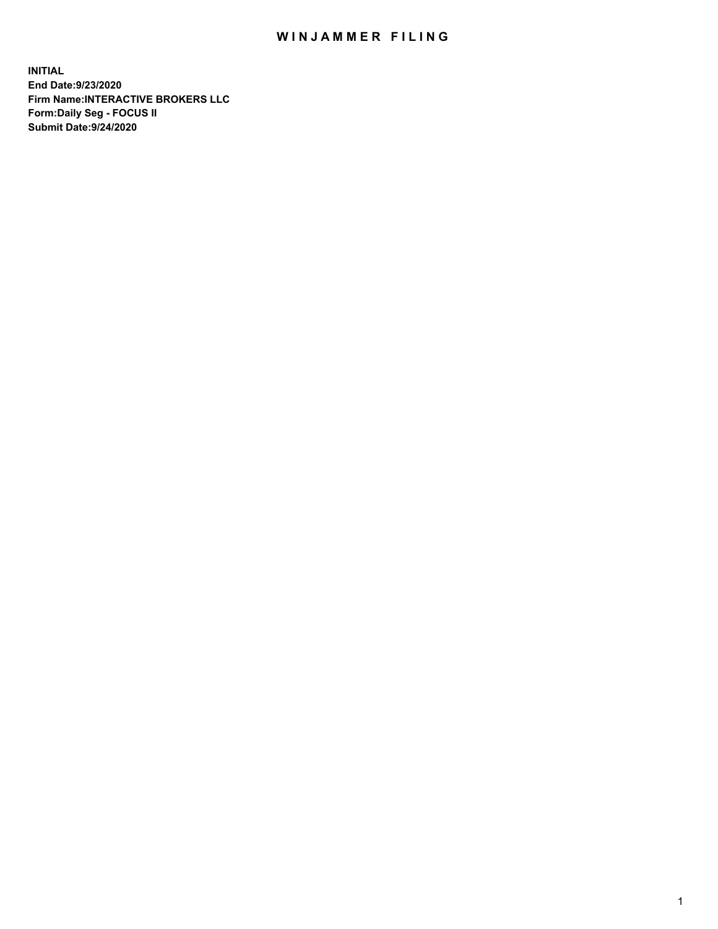## WIN JAMMER FILING

**INITIAL End Date:9/23/2020 Firm Name:INTERACTIVE BROKERS LLC Form:Daily Seg - FOCUS II Submit Date:9/24/2020**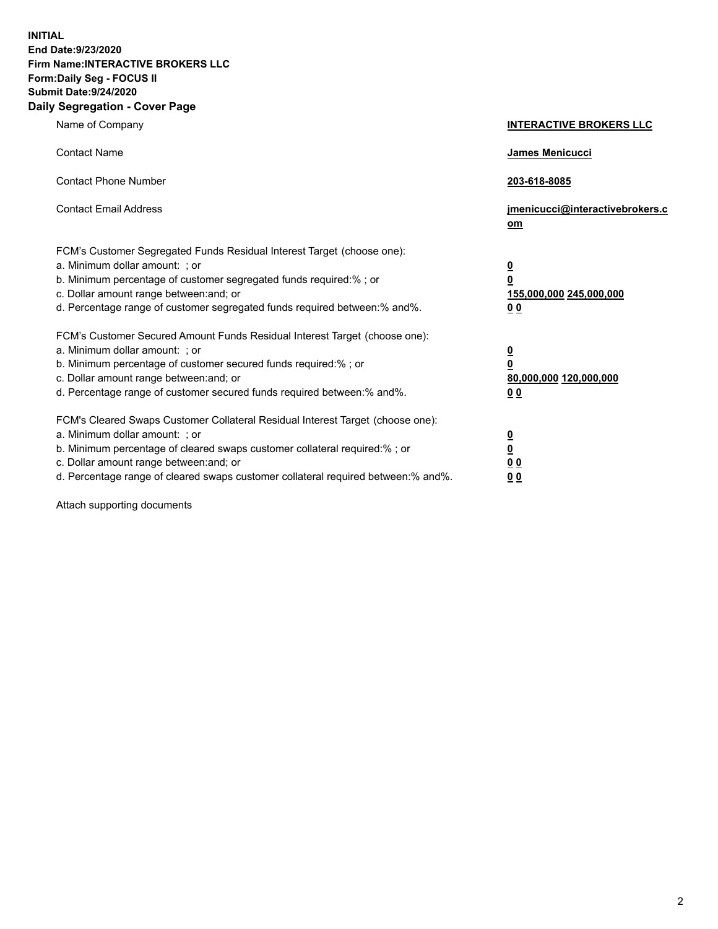**INITIAL End Date:9/23/2020 Firm Name:INTERACTIVE BROKERS LLC Form:Daily Seg - FOCUS II Submit Date:9/24/2020 Daily Segregation - Cover Page**

| Name of Company                                                                                                                                                                                                                                                                                                                | <b>INTERACTIVE BROKERS LLC</b>                                                   |
|--------------------------------------------------------------------------------------------------------------------------------------------------------------------------------------------------------------------------------------------------------------------------------------------------------------------------------|----------------------------------------------------------------------------------|
| <b>Contact Name</b>                                                                                                                                                                                                                                                                                                            | James Menicucci                                                                  |
| <b>Contact Phone Number</b>                                                                                                                                                                                                                                                                                                    | 203-618-8085                                                                     |
| <b>Contact Email Address</b>                                                                                                                                                                                                                                                                                                   | jmenicucci@interactivebrokers.c<br>om                                            |
| FCM's Customer Segregated Funds Residual Interest Target (choose one):<br>a. Minimum dollar amount: ; or<br>b. Minimum percentage of customer segregated funds required:% ; or<br>c. Dollar amount range between: and; or<br>d. Percentage range of customer segregated funds required between:% and%.                         | <u>0</u><br>$\overline{\mathbf{0}}$<br>155,000,000 245,000,000<br>0 <sub>0</sub> |
| FCM's Customer Secured Amount Funds Residual Interest Target (choose one):<br>a. Minimum dollar amount: ; or<br>b. Minimum percentage of customer secured funds required:% ; or<br>c. Dollar amount range between: and; or<br>d. Percentage range of customer secured funds required between:% and%.                           | <u>0</u><br>$\overline{\mathbf{0}}$<br>80,000,000 120,000,000<br>0 <sub>0</sub>  |
| FCM's Cleared Swaps Customer Collateral Residual Interest Target (choose one):<br>a. Minimum dollar amount: ; or<br>b. Minimum percentage of cleared swaps customer collateral required:% ; or<br>c. Dollar amount range between: and; or<br>d. Percentage range of cleared swaps customer collateral required between:% and%. | <u>0</u><br>$\underline{\mathbf{0}}$<br>0 <sub>0</sub><br>0 <sub>0</sub>         |

Attach supporting documents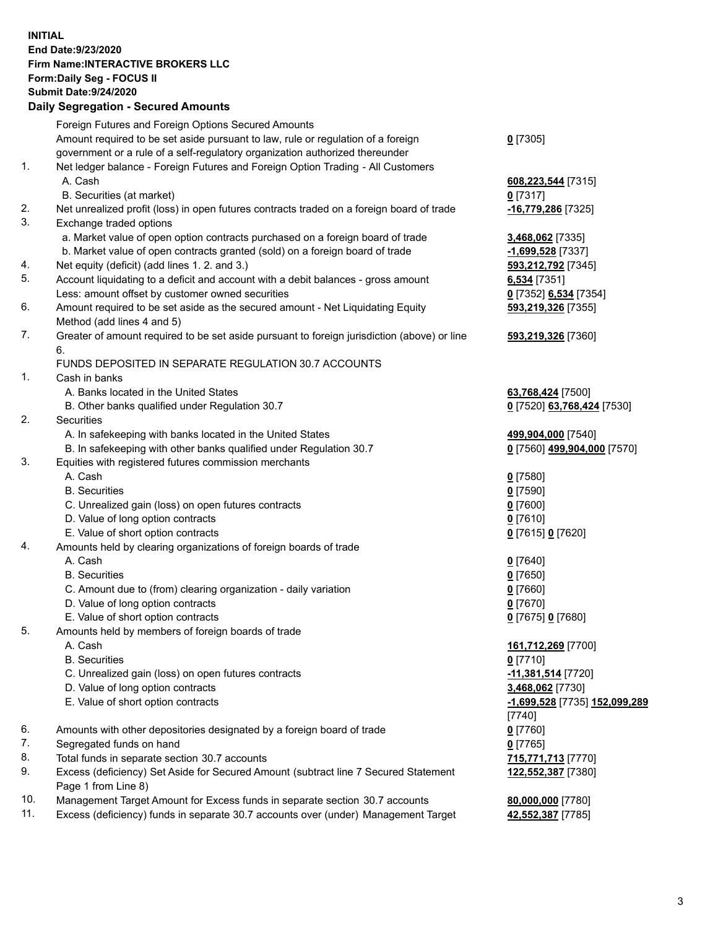**INITIAL End Date:9/23/2020 Firm Name:INTERACTIVE BROKERS LLC Form:Daily Seg - FOCUS II Submit Date:9/24/2020 Daily Segregation - Secured Amounts**

|     | Daily Segregation - Secured Amounts                                                                        |                               |
|-----|------------------------------------------------------------------------------------------------------------|-------------------------------|
|     | Foreign Futures and Foreign Options Secured Amounts                                                        |                               |
|     | Amount required to be set aside pursuant to law, rule or regulation of a foreign                           | $0$ [7305]                    |
|     | government or a rule of a self-regulatory organization authorized thereunder                               |                               |
| 1.  | Net ledger balance - Foreign Futures and Foreign Option Trading - All Customers                            |                               |
|     | A. Cash                                                                                                    | 608,223,544 [7315]            |
|     | B. Securities (at market)                                                                                  | $0$ [7317]                    |
| 2.  | Net unrealized profit (loss) in open futures contracts traded on a foreign board of trade                  | -16,779,286 [7325]            |
| 3.  | Exchange traded options                                                                                    |                               |
|     | a. Market value of open option contracts purchased on a foreign board of trade                             | 3,468,062 [7335]              |
|     | b. Market value of open contracts granted (sold) on a foreign board of trade                               | -1,699,528 [7337]             |
| 4.  | Net equity (deficit) (add lines 1. 2. and 3.)                                                              | 593,212,792 [7345]            |
| 5.  | Account liquidating to a deficit and account with a debit balances - gross amount                          | 6,534 [7351]                  |
|     | Less: amount offset by customer owned securities                                                           | 0 [7352] 6,534 [7354]         |
| 6.  | Amount required to be set aside as the secured amount - Net Liquidating Equity                             | 593,219,326 [7355]            |
|     | Method (add lines 4 and 5)                                                                                 |                               |
| 7.  | Greater of amount required to be set aside pursuant to foreign jurisdiction (above) or line<br>6.          | 593,219,326 [7360]            |
|     | FUNDS DEPOSITED IN SEPARATE REGULATION 30.7 ACCOUNTS                                                       |                               |
| 1.  | Cash in banks                                                                                              |                               |
|     | A. Banks located in the United States                                                                      | 63,768,424 [7500]             |
|     | B. Other banks qualified under Regulation 30.7                                                             | 0 [7520] 63,768,424 [7530]    |
| 2.  | <b>Securities</b>                                                                                          |                               |
|     | A. In safekeeping with banks located in the United States                                                  | 499,904,000 [7540]            |
|     | B. In safekeeping with other banks qualified under Regulation 30.7                                         | 0 [7560] 499,904,000 [7570]   |
| 3.  | Equities with registered futures commission merchants                                                      |                               |
|     | A. Cash                                                                                                    | $0$ [7580]                    |
|     | <b>B.</b> Securities                                                                                       | $0$ [7590]                    |
|     | C. Unrealized gain (loss) on open futures contracts                                                        | $0$ [7600]                    |
|     | D. Value of long option contracts                                                                          | $0$ [7610]                    |
|     | E. Value of short option contracts                                                                         | 0 [7615] 0 [7620]             |
| 4.  | Amounts held by clearing organizations of foreign boards of trade                                          |                               |
|     | A. Cash                                                                                                    | $0$ [7640]                    |
|     | <b>B.</b> Securities                                                                                       | $0$ [7650]                    |
|     | C. Amount due to (from) clearing organization - daily variation                                            | $0$ [7660]                    |
|     | D. Value of long option contracts                                                                          | $0$ [7670]                    |
|     | E. Value of short option contracts                                                                         | 0 [7675] 0 [7680]             |
| 5.  | Amounts held by members of foreign boards of trade                                                         |                               |
|     | A. Cash                                                                                                    | 161,712,269 [7700]            |
|     | <b>B.</b> Securities                                                                                       | $0$ [7710]                    |
|     | C. Unrealized gain (loss) on open futures contracts                                                        | 11,381,514 [7720]             |
|     | D. Value of long option contracts                                                                          | 3,468,062 [7730]              |
|     | E. Value of short option contracts                                                                         | -1,699,528 [7735] 152,099,289 |
|     |                                                                                                            | $[7740]$                      |
| 6.  | Amounts with other depositories designated by a foreign board of trade                                     | $0$ [7760]                    |
| 7.  | Segregated funds on hand                                                                                   | $0$ [7765]                    |
| 8.  | Total funds in separate section 30.7 accounts                                                              | 715,771,713 [7770]            |
| 9.  | Excess (deficiency) Set Aside for Secured Amount (subtract line 7 Secured Statement<br>Page 1 from Line 8) | 122,552,387 [7380]            |
| 10. | Management Target Amount for Excess funds in separate section 30.7 accounts                                | 80,000,000 [7780]             |
| 11. | Excess (deficiency) funds in separate 30.7 accounts over (under) Management Target                         | 42,552,387 [7785]             |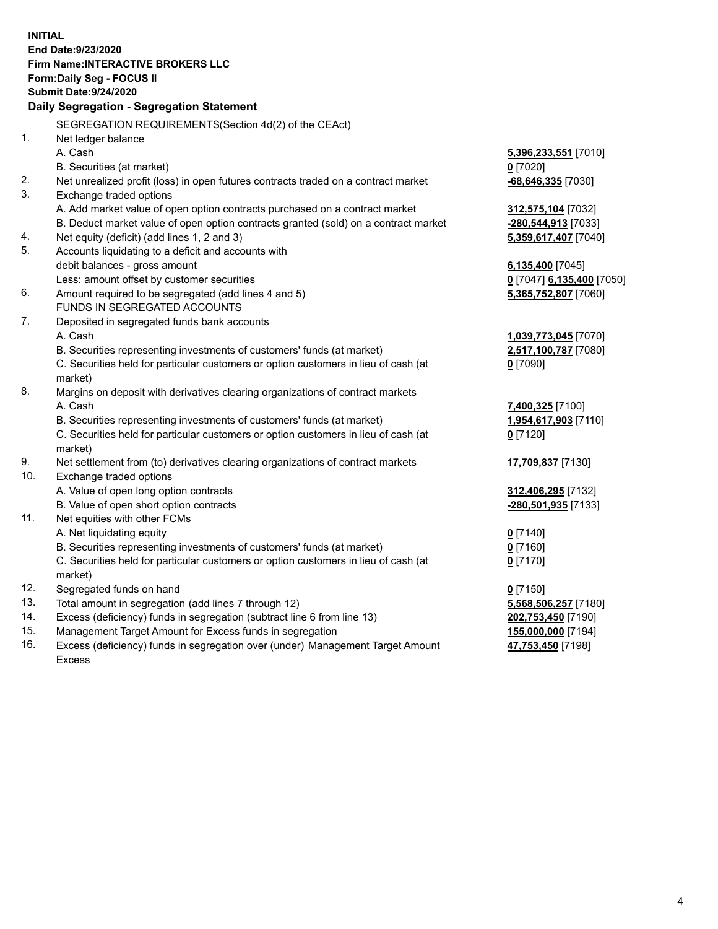**INITIAL End Date:9/23/2020 Firm Name:INTERACTIVE BROKERS LLC Form:Daily Seg - FOCUS II Submit Date:9/24/2020 Daily Segregation - Segregation Statement** SEGREGATION REQUIREMENTS(Section 4d(2) of the CEAct) 1. Net ledger balance A. Cash **5,396,233,551** [7010] B. Securities (at market) **0** [7020] 2. Net unrealized profit (loss) in open futures contracts traded on a contract market **-68,646,335** [7030] 3. Exchange traded options A. Add market value of open option contracts purchased on a contract market **312,575,104** [7032] B. Deduct market value of open option contracts granted (sold) on a contract market **-280,544,913** [7033] 4. Net equity (deficit) (add lines 1, 2 and 3) **5,359,617,407** [7040] 5. Accounts liquidating to a deficit and accounts with debit balances - gross amount **6,135,400** [7045] Less: amount offset by customer securities **0** [7047] **6,135,400** [7050] 6. Amount required to be segregated (add lines 4 and 5) **5,365,752,807** [7060] FUNDS IN SEGREGATED ACCOUNTS 7. Deposited in segregated funds bank accounts A. Cash **1,039,773,045** [7070] B. Securities representing investments of customers' funds (at market) **2,517,100,787** [7080] C. Securities held for particular customers or option customers in lieu of cash (at market) **0** [7090] 8. Margins on deposit with derivatives clearing organizations of contract markets A. Cash **7,400,325** [7100] B. Securities representing investments of customers' funds (at market) **1,954,617,903** [7110] C. Securities held for particular customers or option customers in lieu of cash (at market) **0** [7120] 9. Net settlement from (to) derivatives clearing organizations of contract markets **17,709,837** [7130] 10. Exchange traded options A. Value of open long option contracts **312,406,295** [7132] B. Value of open short option contracts **-280,501,935** [7133] 11. Net equities with other FCMs A. Net liquidating equity **0** [7140] B. Securities representing investments of customers' funds (at market) **0** [7160] C. Securities held for particular customers or option customers in lieu of cash (at market) **0** [7170] 12. Segregated funds on hand **0** [7150] 13. Total amount in segregation (add lines 7 through 12) **5,568,506,257** [7180] 14. Excess (deficiency) funds in segregation (subtract line 6 from line 13) **202,753,450** [7190] 15. Management Target Amount for Excess funds in segregation **155,000,000** [7194] 16. Excess (deficiency) funds in segregation over (under) Management Target Amount **47,753,450** [7198]

Excess